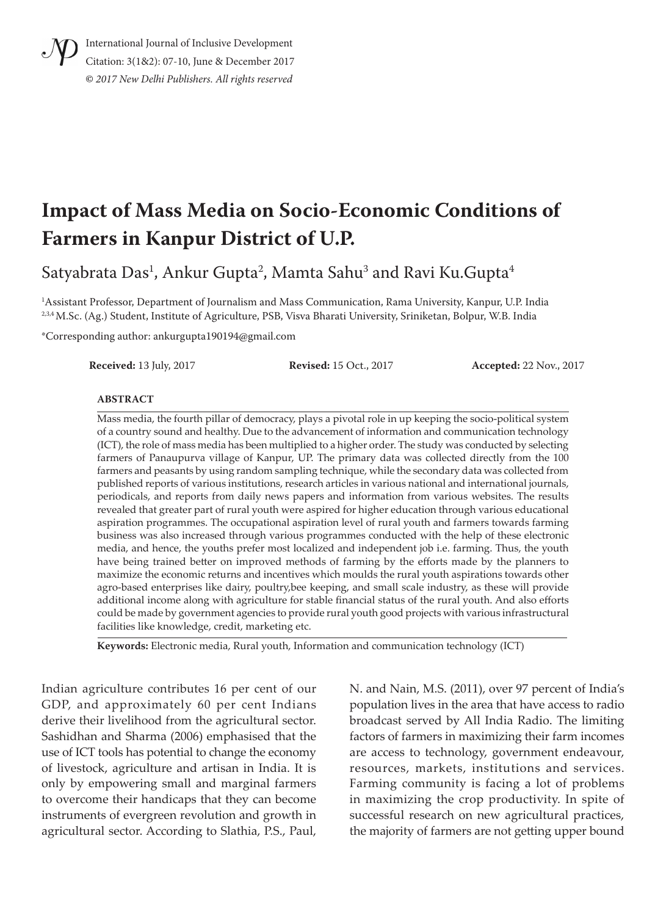

International Journal of Inclusive Development Citation: 3(1&2): 07-10, June & December 2017 **©** *2017 New Delhi Publishers. All rights reserved*

# **Impact of Mass Media on Socio-Economic Conditions of Farmers in Kanpur District of U.P.**

Satyabrata Das<sup>1</sup>, Ankur Gupta<sup>2</sup>, Mamta Sahu<sup>3</sup> and Ravi Ku.Gupta<sup>4</sup>

1 Assistant Professor, Department of Journalism and Mass Communication, Rama University, Kanpur, U.P. India 2,3,4 M.Sc. (Ag.) Student, Institute of Agriculture, PSB, Visva Bharati University, Sriniketan, Bolpur, W.B. India

\*Corresponding author: ankurgupta190194@gmail.com

**Received:** 13 July, 2017 **Revised:** 15 Oct., 2017 **Accepted:** 22 Nov., 2017

#### **ABSTRACT**

Mass media, the fourth pillar of democracy, plays a pivotal role in up keeping the socio-political system of a country sound and healthy. Due to the advancement of information and communication technology (ICT), the role of mass media has been multiplied to a higher order. The study was conducted by selecting farmers of Panaupurva village of Kanpur, UP. The primary data was collected directly from the 100 farmers and peasants by using random sampling technique, while the secondary data was collected from published reports of various institutions, research articles in various national and international journals, periodicals, and reports from daily news papers and information from various websites. The results revealed that greater part of rural youth were aspired for higher education through various educational aspiration programmes. The occupational aspiration level of rural youth and farmers towards farming business was also increased through various programmes conducted with the help of these electronic media, and hence, the youths prefer most localized and independent job i.e. farming. Thus, the youth have being trained better on improved methods of farming by the efforts made by the planners to maximize the economic returns and incentives which moulds the rural youth aspirations towards other agro-based enterprises like dairy, poultry,bee keeping, and small scale industry, as these will provide additional income along with agriculture for stable financial status of the rural youth. And also efforts could be made by government agencies to provide rural youth good projects with various infrastructural facilities like knowledge, credit, marketing etc.

**Keywords:** Electronic media, Rural youth, Information and communication technology (ICT)

Indian agriculture contributes 16 per cent of our GDP, and approximately 60 per cent Indians derive their livelihood from the agricultural sector. Sashidhan and Sharma (2006) emphasised that the use of ICT tools has potential to change the economy of livestock, agriculture and artisan in India. It is only by empowering small and marginal farmers to overcome their handicaps that they can become instruments of evergreen revolution and growth in agricultural sector. According to Slathia, P.S., Paul,

N. and Nain, M.S. (2011), over 97 percent of India's population lives in the area that have access to radio broadcast served by All India Radio. The limiting factors of farmers in maximizing their farm incomes are access to technology, government endeavour, resources, markets, institutions and services. Farming community is facing a lot of problems in maximizing the crop productivity. In spite of successful research on new agricultural practices, the majority of farmers are not getting upper bound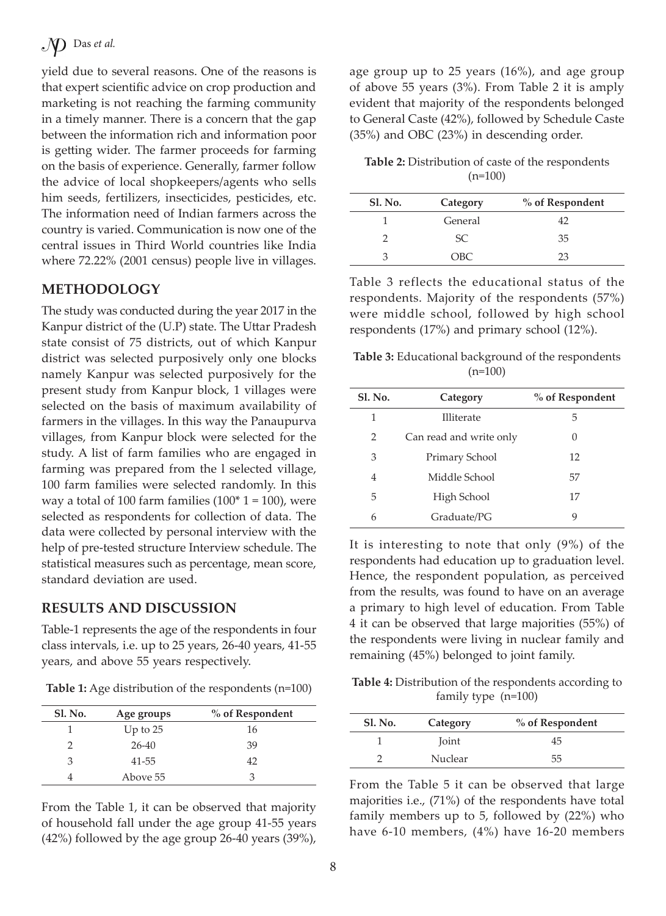yield due to several reasons. One of the reasons is that expert scientific advice on crop production and marketing is not reaching the farming community in a timely manner. There is a concern that the gap between the information rich and information poor is getting wider. The farmer proceeds for farming on the basis of experience. Generally, farmer follow the advice of local shopkeepers/agents who sells him seeds, fertilizers, insecticides, pesticides, etc. The information need of Indian farmers across the country is varied. Communication is now one of the central issues in Third World countries like India where 72.22% (2001 census) people live in villages.

## **METHODOLOGY**

The study was conducted during the year 2017 in the Kanpur district of the (U.P) state. The Uttar Pradesh state consist of 75 districts, out of which Kanpur district was selected purposively only one blocks namely Kanpur was selected purposively for the present study from Kanpur block, 1 villages were selected on the basis of maximum availability of farmers in the villages. In this way the Panaupurva villages, from Kanpur block were selected for the study. A list of farm families who are engaged in farming was prepared from the l selected village, 100 farm families were selected randomly. In this way a total of 100 farm families  $(100^* 1 = 100)$ , were selected as respondents for collection of data. The data were collected by personal interview with the help of pre-tested structure Interview schedule. The statistical measures such as percentage, mean score, standard deviation are used.

### **RESULTS AND DISCUSSION**

Table-1 represents the age of the respondents in four class intervals, i.e. up to 25 years, 26-40 years, 41-55 years, and above 55 years respectively.

**Table 1:** Age distribution of the respondents (n=100)

| <b>Sl. No.</b> | Age groups | % of Respondent |
|----------------|------------|-----------------|
|                | Up to $25$ | 16              |
| っ              | $26-40$    | 39              |
| 3              | 41-55      | 42              |
|                | Above 55   | 3               |

From the Table 1, it can be observed that majority of household fall under the age group 41-55 years (42%) followed by the age group 26-40 years (39%),

age group up to 25 years (16%), and age group of above 55 years (3%). From Table 2 it is amply evident that majority of the respondents belonged to General Caste (42%), followed by Schedule Caste (35%) and OBC (23%) in descending order.

**Table 2:** Distribution of caste of the respondents  $(n=100)$ 

| <b>Sl. No.</b> | Category | % of Respondent |
|----------------|----------|-----------------|
|                | General  | 42              |
|                | SC.      | 35              |
|                | OBC      | 23              |

Table 3 reflects the educational status of the respondents. Majority of the respondents (57%) were middle school, followed by high school respondents (17%) and primary school (12%).

**Table 3:** Educational background of the respondents  $(n=100)$ 

| <b>Sl. No.</b> | Category                | % of Respondent |
|----------------|-------------------------|-----------------|
| 1              | Illiterate              | 5               |
| 2              | Can read and write only | 0               |
| 3              | Primary School          | 12              |
| $\overline{4}$ | Middle School           | 57              |
| 5              | High School             | 17              |
| 6              | Graduate/PG             | 9               |

It is interesting to note that only (9%) of the respondents had education up to graduation level. Hence, the respondent population, as perceived from the results, was found to have on an average a primary to high level of education. From Table 4 it can be observed that large majorities (55%) of the respondents were living in nuclear family and remaining (45%) belonged to joint family.

**Table 4:** Distribution of the respondents according to family type (n=100)

| <b>Sl. No.</b> | Category | % of Respondent |
|----------------|----------|-----------------|
|                | Joint    | 45              |
|                | Nuclear  | 55              |

From the Table 5 it can be observed that large majorities i.e., (71%) of the respondents have total family members up to 5, followed by (22%) who have 6-10 members, (4%) have 16-20 members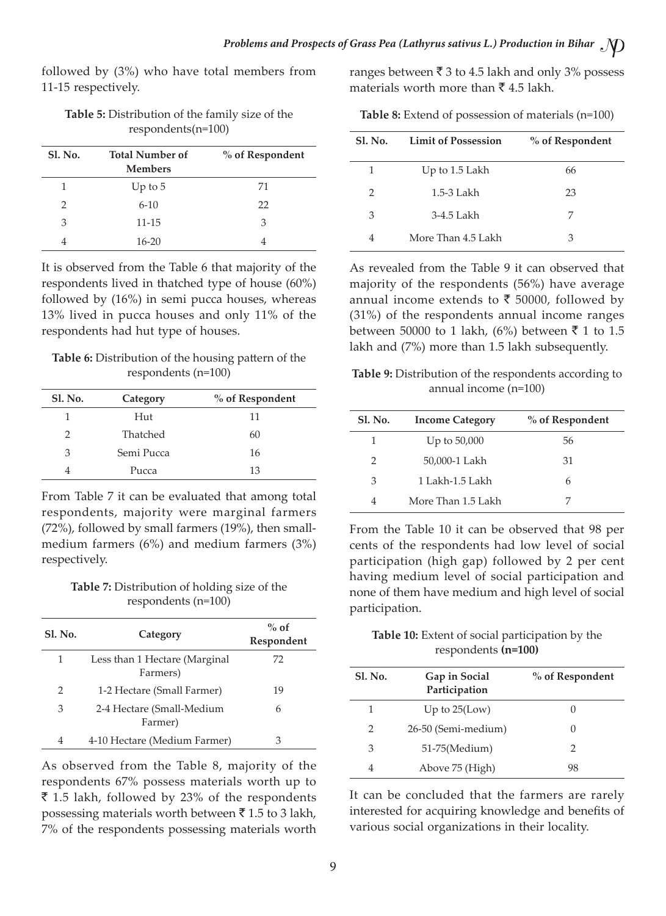followed by (3%) who have total members from 11-15 respectively.

| Table 5: Distribution of the family size of the |
|-------------------------------------------------|
| $respondents(n=100)$                            |

| Sl. No.       | <b>Total Number of</b><br><b>Members</b> | % of Respondent |
|---------------|------------------------------------------|-----------------|
| 1             | Up to $5$                                | 71              |
| $\mathcal{P}$ | $6 - 10$                                 | 22              |
| 3             | $11 - 15$                                | 3               |
| 4             | $16 - 20$                                |                 |

It is observed from the Table 6 that majority of the respondents lived in thatched type of house (60%) followed by (16%) in semi pucca houses, whereas 13% lived in pucca houses and only 11% of the respondents had hut type of houses.

**Table 6:** Distribution of the housing pattern of the respondents (n=100)

| <b>Sl. No.</b> | Category   | % of Respondent |  |
|----------------|------------|-----------------|--|
|                | Hut        | 11              |  |
| っ              | Thatched   | 60              |  |
| 3              | Semi Pucca | 16              |  |
|                | Pucca      | 13              |  |

From Table 7 it can be evaluated that among total respondents, majority were marginal farmers (72%), followed by small farmers (19%), then smallmedium farmers (6%) and medium farmers (3%) respectively.

**Table 7:** Distribution of holding size of the respondents (n=100)

| <b>Sl. No.</b> | Category                                  | $%$ of<br>Respondent |
|----------------|-------------------------------------------|----------------------|
| 1              | Less than 1 Hectare (Marginal<br>Farmers) | 72                   |
| 2              | 1-2 Hectare (Small Farmer)                | 19                   |
| 3              | 2-4 Hectare (Small-Medium<br>Farmer)      | 6                    |
| 4              | 4-10 Hectare (Medium Farmer)              | З                    |

As observed from the Table 8, majority of the respondents 67% possess materials worth up to  $\bar{\bar{\xi}}$  1.5 lakh, followed by 23% of the respondents possessing materials worth between  $\bar{\tau}$  1.5 to 3 lakh, 7% of the respondents possessing materials worth ranges between  $\bar{\tau}$  3 to 4.5 lakh and only 3% possess materials worth more than  $\bar{\tau}$  4.5 lakh.

**Table 8:** Extend of possession of materials (n=100)

| <b>Sl. No.</b> | <b>Limit of Possession</b> | % of Respondent |
|----------------|----------------------------|-----------------|
| 1              | Up to 1.5 Lakh             | 66              |
| $\mathcal{P}$  | 1.5-3 Lakh                 | 23              |
| 3              | 3-4.5 Lakh                 | 7               |
|                | More Than 4.5 Lakh         | З               |

As revealed from the Table 9 it can observed that majority of the respondents (56%) have average annual income extends to  $\bar{\tau}$  50000, followed by (31%) of the respondents annual income ranges between 50000 to 1 lakh, (6%) between  $\bar{z}$  1 to 1.5 lakh and (7%) more than 1.5 lakh subsequently.

**Table 9:** Distribution of the respondents according to annual income (n=100)

| <b>Sl. No.</b> | <b>Income Category</b> | % of Respondent |
|----------------|------------------------|-----------------|
| 1              | Up to $50,000$         | 56              |
| $\mathcal{P}$  | 50,000-1 Lakh          | 31              |
| 3              | 1 Lakh-1.5 Lakh        | 6               |
| 4              | More Than 1.5 Lakh     |                 |

From the Table 10 it can be observed that 98 per cents of the respondents had low level of social participation (high gap) followed by 2 per cent having medium level of social participation and none of them have medium and high level of social participation.

**Table 10:** Extent of social participation by the respondents **(n=100)**

| <b>Sl. No.</b> | Gap in Social<br>Participation | % of Respondent |
|----------------|--------------------------------|-----------------|
| 1              | Up to $25$ (Low)               |                 |
| $\mathcal{P}$  | 26-50 (Semi-medium)            |                 |
| 3              | 51-75(Medium)                  | 2               |
|                | Above 75 (High)                | 98              |

It can be concluded that the farmers are rarely interested for acquiring knowledge and benefits of various social organizations in their locality.